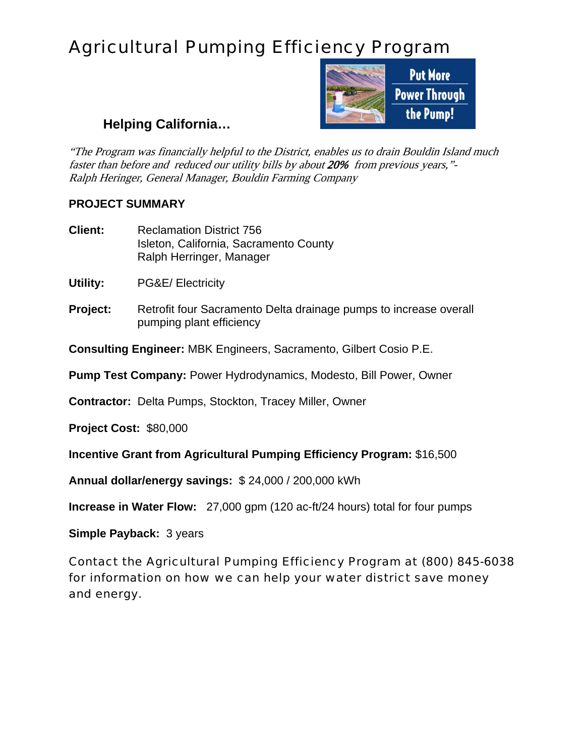## Agricultural Pumping Efficiency Program



## **Helping California…**

"The Program was financially helpful to the District, enables us to drain Bouldin Island much faster than before and reduced our utility bills by about 20% from previous years,"- Ralph Heringer, General Manager, Bouldin Farming Company

## **PROJECT SUMMARY**

**Client:** Reclamation District 756 Isleton, California, Sacramento County Ralph Herringer, Manager

**Utility:** PG&E/ Electricity

**Project:** Retrofit four Sacramento Delta drainage pumps to increase overall pumping plant efficiency

**Consulting Engineer:** MBK Engineers, Sacramento, Gilbert Cosio P.E.

**Pump Test Company:** Power Hydrodynamics, Modesto, Bill Power, Owner

**Contractor:** Delta Pumps, Stockton, Tracey Miller, Owner

**Project Cost:** \$80,000

**Incentive Grant from Agricultural Pumping Efficiency Program:** \$16,500

**Annual dollar/energy savings:** \$ 24,000 / 200,000 kWh

**Increase in Water Flow:** 27,000 gpm (120 ac-ft/24 hours) total for four pumps

**Simple Payback:** 3 years

Contact the Agricultural Pumping Efficiency Program at (800) 845-6038 for information on how we can help your water district save money and energy.